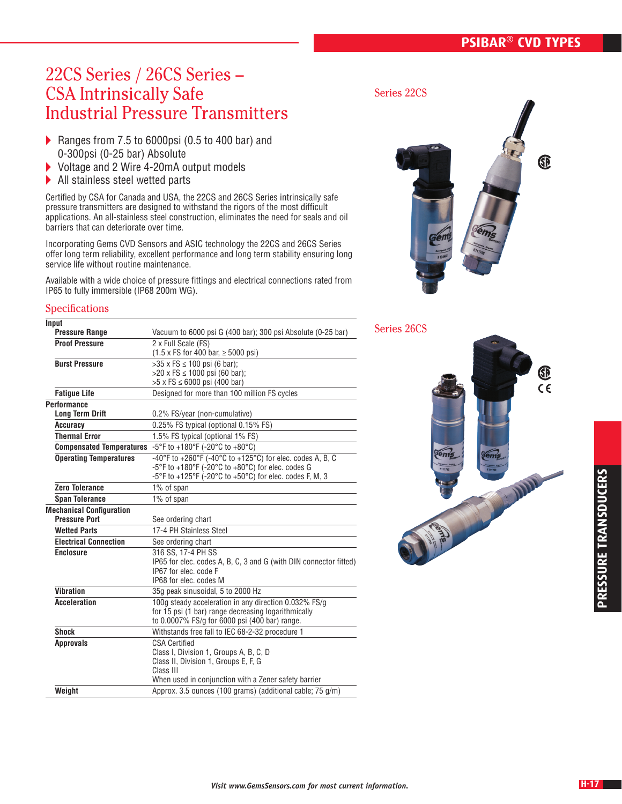# **PSIBAR® CVD TYPES**

# 22CS Series / 26CS Series – CSA Intrinsically Safe Industrial Pressure Transmitters

- Ranges from 7.5 to 6000psi (0.5 to 400 bar) and 0-300psi (0-25 bar) Absolute
- ▶ Voltage and 2 Wire 4-20mA output models
- ▶ All stainless steel wetted parts

Certified by CSA for Canada and USA, the 22CS and 26CS Series intrinsically safe pressure transmitters are designed to withstand the rigors of the most difficult applications. An all-stainless steel construction, eliminates the need for seals and oil barriers that can deteriorate over time.

Incorporating Gems CVD Sensors and ASIC technology the 22CS and 26CS Series offer long term reliability, excellent performance and long term stability ensuring long service life without routine maintenance.

Available with a wide choice of pressure fittings and electrical connections rated from IP65 to fully immersible (IP68 200m WG).

#### **Specifications**

| Input                           |                                                                   |  |  |  |  |
|---------------------------------|-------------------------------------------------------------------|--|--|--|--|
| <b>Pressure Range</b>           | Vacuum to 6000 psi G (400 bar); 300 psi Absolute (0-25 bar)       |  |  |  |  |
| <b>Proof Pressure</b>           | 2 x Full Scale (FS)                                               |  |  |  |  |
|                                 | $(1.5 \times FS$ for 400 bar, $\geq 5000$ psi)                    |  |  |  |  |
| <b>Burst Pressure</b>           | >35 x FS ≤ 100 psi (6 bar);                                       |  |  |  |  |
|                                 | $>20 \times FS \le 1000$ psi (60 bar);                            |  |  |  |  |
|                                 | $>5$ x FS $\leq$ 6000 psi (400 bar)                               |  |  |  |  |
| <b>Fatique Life</b>             | Designed for more than 100 million FS cycles                      |  |  |  |  |
| <b>Performance</b>              |                                                                   |  |  |  |  |
| <b>Long Term Drift</b>          | 0.2% FS/year (non-cumulative)                                     |  |  |  |  |
| Accuracy                        | 0.25% FS typical (optional 0.15% FS)                              |  |  |  |  |
| <b>Thermal Error</b>            | 1.5% FS typical (optional 1% FS)                                  |  |  |  |  |
|                                 | Compensated Temperatures -5°F to +180°F (-20°C to +80°C)          |  |  |  |  |
| <b>Operating Temperatures</b>   | -40°F to +260°F (-40°C to +125°C) for elec. codes A, B, C         |  |  |  |  |
|                                 | -5°F to +180°F (-20°C to +80°C) for elec. codes G                 |  |  |  |  |
|                                 | -5°F to +125°F (-20°C to +50°C) for elec. codes F, M, 3           |  |  |  |  |
| <b>Zero Tolerance</b>           | 1% of span                                                        |  |  |  |  |
| <b>Span Tolerance</b>           | 1% of span                                                        |  |  |  |  |
| <b>Mechanical Configuration</b> |                                                                   |  |  |  |  |
| <b>Pressure Port</b>            | See ordering chart                                                |  |  |  |  |
| <b>Wetted Parts</b>             | 17-4 PH Stainless Steel                                           |  |  |  |  |
| <b>Electrical Connection</b>    | See ordering chart                                                |  |  |  |  |
| <b>Enclosure</b>                | 316 SS, 17-4 PH SS                                                |  |  |  |  |
|                                 | IP65 for elec. codes A, B, C, 3 and G (with DIN connector fitted) |  |  |  |  |
|                                 | IP67 for elec. code F                                             |  |  |  |  |
|                                 | IP68 for elec. codes M                                            |  |  |  |  |
| <b>Vibration</b>                | 35g peak sinusoidal, 5 to 2000 Hz                                 |  |  |  |  |
| <b>Acceleration</b>             | 100g steady acceleration in any direction 0.032% FS/g             |  |  |  |  |
|                                 | for 15 psi (1 bar) range decreasing logarithmically               |  |  |  |  |
|                                 | to 0.0007% FS/g for 6000 psi (400 bar) range.                     |  |  |  |  |
| <b>Shock</b>                    | Withstands free fall to IEC 68-2-32 procedure 1                   |  |  |  |  |
| <b>Approvals</b>                | <b>CSA Certified</b>                                              |  |  |  |  |
|                                 | Class I, Division 1, Groups A, B, C, D                            |  |  |  |  |
|                                 | Class II, Division 1, Groups E, F, G                              |  |  |  |  |
|                                 | Class III                                                         |  |  |  |  |
|                                 | When used in conjunction with a Zener safety barrier              |  |  |  |  |
| Weight                          | Approx. 3.5 ounces (100 grams) (additional cable; 75 g/m)         |  |  |  |  |

Series 22CS



Series 26CS

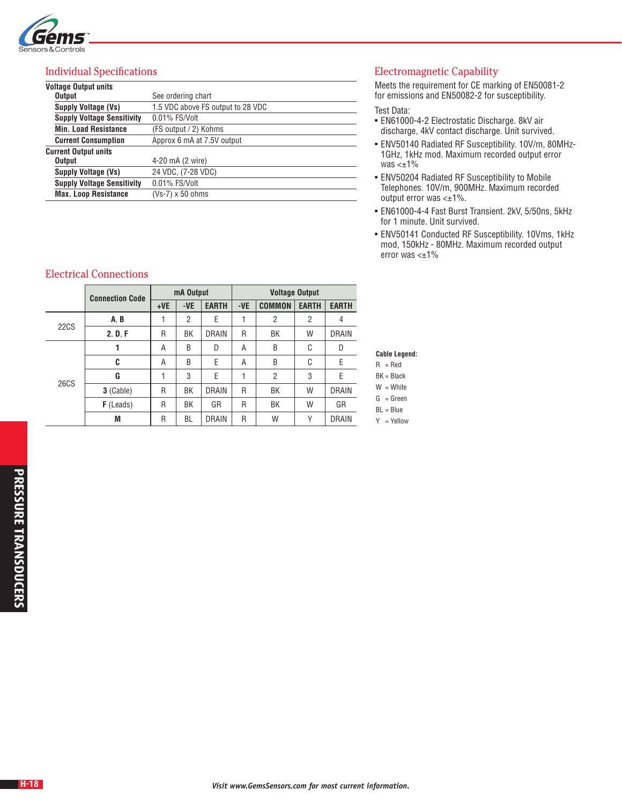

### Individual Specifications

| <b>Voltage Output units</b>       |                                   |  |  |  |  |
|-----------------------------------|-----------------------------------|--|--|--|--|
| Output                            | See ordering chart                |  |  |  |  |
| <b>Supply Voltage (Vs)</b>        | 1.5 VDC above FS output to 28 VDC |  |  |  |  |
| <b>Supply Voltage Sensitivity</b> | 0.01% FS/Volt                     |  |  |  |  |
| <b>Min. Load Resistance</b>       | (FS output / 2) Kohms             |  |  |  |  |
| <b>Current Consumption</b>        | Approx 6 mA at 7.5V output        |  |  |  |  |
| <b>Current Output units</b>       |                                   |  |  |  |  |
| Output                            | 4-20 mA (2 wire)                  |  |  |  |  |
| <b>Supply Voltage (Vs)</b>        | 24 VDC, (7-28 VDC)                |  |  |  |  |
| <b>Supply Voltage Sensitivity</b> | 0.01% FS/Volt                     |  |  |  |  |
| <b>Max. Loop Resistance</b>       | (Vs-7) x 50 ohms                  |  |  |  |  |

## Electrical Connections

|             | <b>Connection Code</b> | mA Output |                |              | <b>Voltage Output</b> |                |                |              |
|-------------|------------------------|-----------|----------------|--------------|-----------------------|----------------|----------------|--------------|
|             |                        | $+VE$     | -VE            | <b>EARTH</b> | -VE                   | <b>COMMON</b>  | <b>EARTH</b>   | <b>EARTH</b> |
| <b>22CS</b> | A, B                   |           | $\overline{2}$ | Е            |                       | 2              | $\overline{2}$ | 4            |
|             | 2, D, F                | R         | BK             | <b>DRAIN</b> | R                     | BK             | W              | <b>DRAIN</b> |
| <b>26CS</b> | 1                      | Α         | B              | D            | A                     | B              | C              | D            |
|             | C                      | А         | B              | Ε            | A                     | B              | C              | E            |
|             | G                      |           | 3              | E            |                       | $\overline{2}$ | 3              | E            |
|             | 3 (Cable)              | R         | ВK             | <b>DRAIN</b> | R                     | BK             | W              | <b>DRAIN</b> |
|             | <b>F</b> (Leads)       | R         | BK             | GR           | R                     | BK             | W              | GR           |
|             | M                      | R         | BL             | <b>DRAIN</b> | R                     | W              | Υ              | <b>DRAIN</b> |

## Electromagnetic Capability

Meets the requirement for CE marking of EN50081-2 for emissions and EN50082-2 for susceptibility.

#### Test Data:

- EN61000-4-2 Electrostatic Discharge. 8kV air discharge, 4kV contact discharge. Unit survived.
- ENV50140 Radiated RF Susceptibility. 10V/m, 80MHz-1GHz, 1kHz mod. Maximum recorded output error was  $\lt t1\%$
- ENV50204 Radiated RF Susceptibility to Mobile Telephones. 10V/m, 900MHz. Maximum recorded output error was <±1%.
- EN61000-4-4 Fast Burst Transient. 2kV, 5/50ns, 5kHz for 1 minute. Unit survived.
- ENV50141 Conducted RF Susceptibility. 10Vms, 1kHz mod, 150kHz - 80MHz. Maximum recorded output error was <±1%

#### **Cable Legend:**

|  | п<br>≺⊷<br>×<br>۰,<br>× |
|--|-------------------------|
|  | KI<br>ĸ<br>ю<br>410     |

|   | $BN = BIGCK$ |
|---|--------------|
| w | White        |

| v v | <b>VVIIILE</b> |  |
|-----|----------------|--|
|     |                |  |

- $G = Green$
- BL = Blue
- Y = Yellow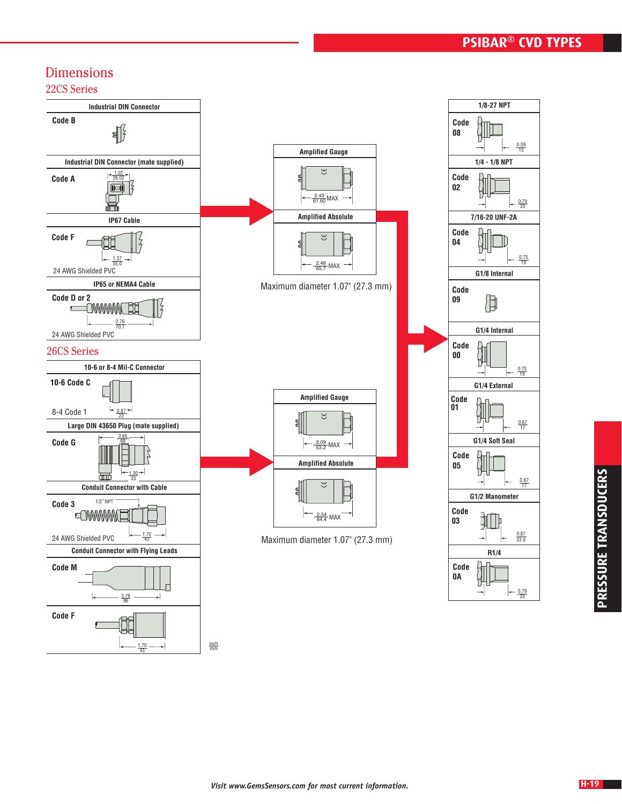# Dimensions

43

22CS Series